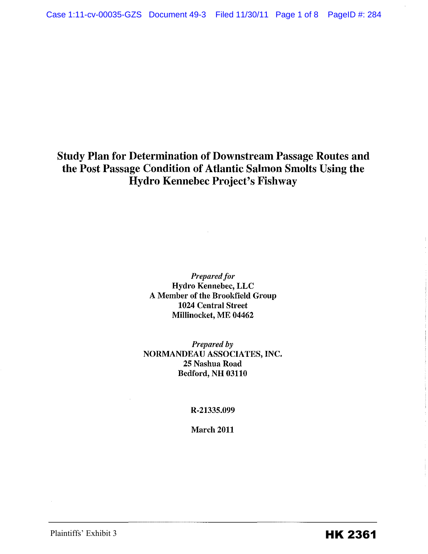Study Plan for Determination of Downstream Passage Routes and the Post Passage Condition of Atlantic Salmon Smolts Using the Hydro Kennebec Project's Fishway

> *Prepared for*  Hydro Kennebec, LLC A Member of the Brookfield Group 1024 Central Street Millinocket, ME 04462

*Prepared by*  NORMANDEAU ASSOCIATES, INC. 25 Nashua Road Bedford, NH 03110

R-21335.099

March 2011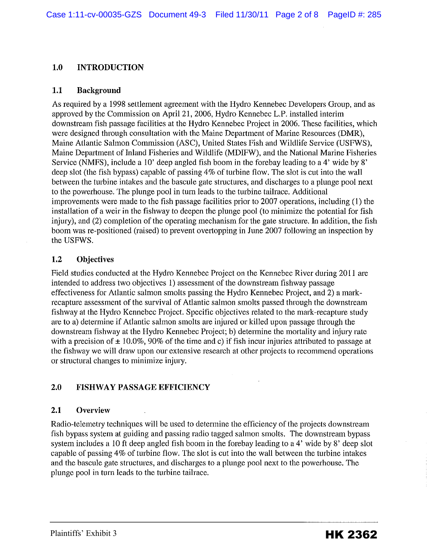### **1.0 INTRODUCTION**

#### **1.1 Background**

As required by a 1998 settlement agreement with the Hydro Kennebec Developers Group, and as approved by the Commission on April21, 2006, Hydro Kennebec L.P. installed interim downstream fish passage facilities at the Hydro Kennebec Project in 2006. These facilities, which were designed through consultation with the Maine Department of Marine Resources (DMR), Maine Atlantic Salmon Commission (ASC), United States Fish and Wildlife Service (USFWS), Maine Department of Inland Fisheries and Wildlife (MDIFW), and the National Marine Fisheries Service (NMFS), include a 10' deep angled fish boom in the forebay leading to a 4' wide by 8' deep slot (the fish bypass) capable of passing 4% of turbine flow. The slot is cut into the wall between the turbine intakes and the bascule gate structures, and discharges to a plunge pool next to the powerhouse. The plunge pool in turn leads to the turbine tailrace. Additional improvements were made to the fish passage facilities prior to 2007 operations, including (1) the installation of a weir in the fishway to deepen the plunge pool (to minimize the potential for fish injury), and (2) completion of the operating mechanism for the gate structure. In addition, the fish boom was re-positioned (raised) to prevent overtopping in June 2007 following an inspection by the USFWS.

### **1.2 Objectives**

Field studies conducted at the Hydro Kennebec Project on the Kennebec River during 2011 are intended to address two objectives 1) assessment of the downstream fishway passage effectiveness for Atlantic salmon smolts passing the Hydro Kennebec Project, and 2) a markrecapture assessment of the survival of Atlantic salmon smolts passed through the downstream fishway at the Hydro Kennebec Project. Specific objectives related to the mark-recapture study are to a) determine if Atlantic salmon smolts are injured or killed upon passage through the downstream fishway at the Hydro Kennebec Project; b) determine the mortality and injury rate with a precision of  $\pm 10.0\%$ , 90% of the time and c) if fish incur injuries attributed to passage at the fishway we will draw upon our extensive research at other projects to recommend operations or structural changes to minimize injury.

# **2.0 FISHWAY PASSAGE EFFICIENCY**

### **2.1 Overview**

Radio-telemetry techniques will be used to determine the efficiency of the projects downstream fish bypass system at guiding and passing radio tagged salmon smolts. The downstream bypass system includes a 10 ft deep angled fish boom in the forebay leading to a 4' wide by 8' deep slot capable of passing 4% of turbine flow. The slot is cut into the wall between the turbine intakes and the bascule gate structures, and discharges to a plunge pool next to the powerhouse. The plunge pool in turn leads to the turbine tailrace.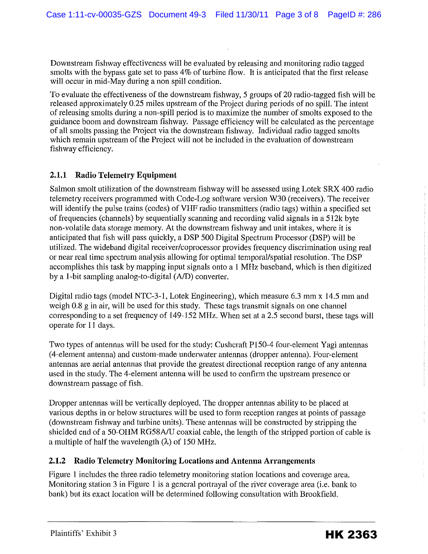Downstream fishway effectiveness will be evaluated by releasing and monitoring radio tagged smolts with the bypass gate set to pass 4% of turbine flow. It is anticipated that the first release will occur in mid-May during a non spill condition.

To evaluate the effectiveness of the downstream fishway, 5 groups of 20 radio-tagged fish will be released approximately 0.25 miles upstream of the Project during periods of no spill. The intent of releasing smolts during a non-spill period is to maximize the number of smolts exposed to the guidance boom and downstream fishway. Passage efficiency will be calculated as the percentage of all smolts passing the Project via the downstream fishway. Individual radio tagged smolts which remain upstream of the Project will not be included in the evaluation of downstream fishway efficiency.

### **2.1.1 Radio Telemetry Equipment**

Salmon smolt utilization of the downstream fishway will be assessed using Lotek SRX 400 radio telemetry receivers programmed with Code-Log software version W30 (receivers). The receiver will identify the pulse trains (codes) of VHF radio transmitters (radio tags) within a specified set of frequencies (channels) by sequentially scanning and recording valid signals in a 512k byte non-volatile data storage memory. At the downstream fishway and unit intakes, where it is anticipated that fish will pass quickly, a DSP 500 Digital Spectrum Processor (DSP) will be utilized. The wideband digital receiver/coprocessor provides frequency discrimination using real or near real time spectrum analysis allowing for optimal temporal/spatial resolution. The DSP accomplishes this task by mapping input signals onto a I MHz baseband, which is then digitized by a !-bit sampling analog-to-digital (A/D) converter.

Digital radio tags (model NTC-3-l, Lotek Engineering), which measure 6.3 mm x 14.5 mm and weigh 0.8 g in air, will be used for this study. These tags transmit signals on one channel corresponding to a set frequency of 149-152 MHz. When set at a 2.5 second burst, these tags will operate for II days.

Two types of antennas will be used for the study: Cushcraft P150-4 four-element Yagi antennas (4-element antenna) and custom-made underwater antennas (dropper antenna). Four-element antennas are aerial antennas that provide the greatest directional reception range of any antenna used in the study. The 4-element antenna will be used to confirm the upstream presence or downstream passage of fish.

Dropper antennas will be vertically deployed. The dropper antennas ability to be placed at various depths in or below structures will be used to form reception ranges at points of passage (downstream fishway and turbine units). These antennas will be constructed by stripping the shielded end of a 50-0HM RG58AJU coaxial cable, the length of the stripped portion of cable is a multiple of half the wavelength  $(\lambda)$  of 150 MHz.

### **2.1.2 Radio Telemetry Monitoring Locations and Antenna Arrangements**

Figure I includes the three radio telemetry monitoring station locations and coverage area. Monitoring station 3 in Figure I is a general portrayal of the river coverage area (i.e. bank to bank) but its exact location will be determined following consultation with Brookfield.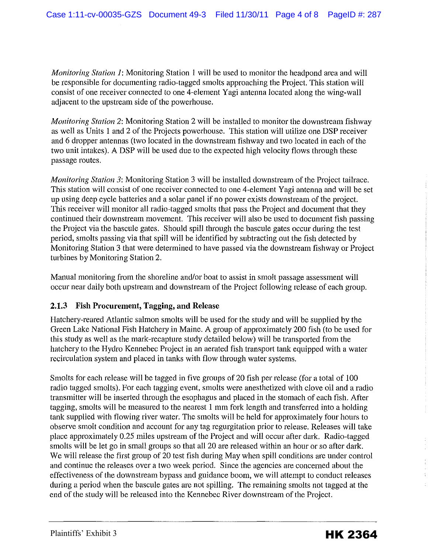*Monitoring Station 1:* Monitoring Station 1 will be used to monitor the headpond area and will be responsible for documenting radio-tagged smolts approaching the Project. This station will consist of one receiver connected to one 4-element Yagi antenna located along the wing-wall adjacent to the upstream side of the powerhouse.

*Monitoring Station* 2: Monitoring Station 2 will be installed to monitor the downstream fishway as well as Units 1 and 2 of the Projects powerhouse. This station will utilize one DSP receiver and 6 dropper antennas (two located in the downstream fishway and two located in each of the two unit intakes). A DSP will be used due to the expected high velocity flows through these passage routes.

*Monitoring Station 3:* Monitoring Station 3 will be installed downstream of the Project tailrace. This station will consist of one receiver connected to one 4-element Yagi antenna and will be set up using deep cycle batteries and a solar panel if no power exists downstream of the project. This receiver will monitor all radio-tagged smolts that pass the Project and document that they continued their downstream movement. This receiver will also be used to document fish passing the Project via the bascule gates. Should spill through the bascule gates occur during the test period, smolts passing via that spill will be identified by subtracting out the fish detected by Monitoring Station 3 that were determined to have passed via the downstream fishway or Project turbines by Monitoring Station 2.

Manual monitoring from the shoreline and/or boat to assist in smolt passage assessment will occur near daily both upstream and downstream of the Project following release of each group.

# **2.1.3 Fish Procurement, Tagging, and Release**

Hatchery-reared Atlantic salmon smolts will be used for the study and will be supplied by the Green Lake National Fish Hatchery in Maine. A group of approximately 200 fish (to be used for this study as well as the mark-recapture study detailed below) will be transported from the hatchery to the Hydro Kennebec Project in an aerated fish transport tank equipped with a water recirculation system and placed in tanks with flow through water systems.

Smolts for each release will be tagged in five groups of 20 fish per release (for a total of 100 radio tagged smolts). For each tagging event, smolts were anesthetized with clove oil and a radio transmitter will be inserted through the esophagus and placed in the stomach of each fish. After tagging, smolts will be measured to the nearest 1 mm fork length and transferred into a holding tank supplied with flowing river water. The smolts will be held for approximately four hours to observe smolt condition and account for any tag regurgitation prior to release. Releases will take place approximately 0.25 miles upstream of the Project and will occur after dark. Radio-tagged smolts will be let go in small groups so that all 20 are released within an hour or so after dark. We will release the first group of 20 test fish during May when spill conditions are under control and continue the releases over a two week period. Since the agencies are concerned about the effectiveness of the downstream bypass and guidance boom, we will attempt to conduct releases during a period when the bascule gates are not spilling. The remaining smolts not tagged at the end of the study will be released into the Kennebec River downstream of the Project.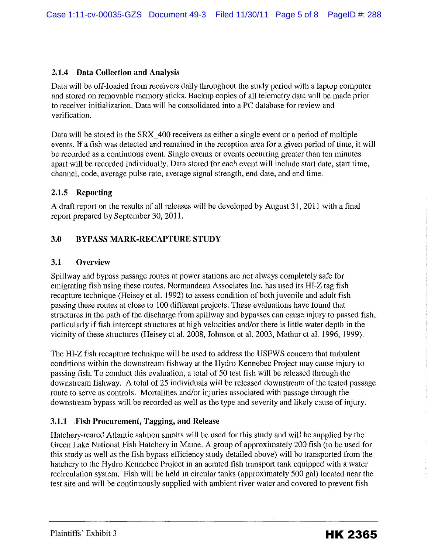## **2.1.4 Data Collection and Analysis**

Data will be off-loaded from receivers daily throughout the study period with a laptop computer and stored on removable memory sticks. Backup copies of all telemetry data will be made prior to receiver initialization. Data will be consolidated into a PC database for review and verification.

Data will be stored in the SRX\_400 receivers as either a single event or a period of multiple events. If a fish was detected and remained in the reception area for a given period of time, it will be recorded as a continuous event. Single events or events occurring greater than ten minutes apart will be recorded individually. Data stored for each event will include start date, start time, channel, code, average pulse rate, average signal strength, end date, and end time.

### **2.1.5 Reporting**

A draft report on the results of all releases will be developed by August 31, 2011 with a final report prepared by September 30, 2011.

# **3.0 BYPASS MARK-RECAPTURE STUDY**

### **3.1 Overview**

Spillway and bypass passage routes at power stations are not always completely safe for emigrating fish using these routes. Normandeau Associates Inc. has used its HI-Z tag fish recapture technique (Heisey et al. 1992) to assess condition of both juvenile and adult fish passing these routes at close to 100 different projects. These evaluations have found that structures in the path of the discharge from spillway and bypasses can cause injury to passed fish, particularly if fish intercept structures at high velocities and/or there is little water depth in the vicinity of these structures (Heisey et al. 2008, Johnson et al. 2003, Mathur et al. 1996, 1999).

The HI-Z fish recapture technique will be used to address the USFWS concern that turbulent conditions within the downstream fishway at the Hydro Kennebec Project may cause injury to passing fish. To conduct this evaluation, a total of 50 test fish will be released through the downstream fishway. A total of 25 individuals will be released downstream of the tested passage route to serve as controls. Mortalities and/or injuries associated with passage through the downstream bypass will be recorded as well as the type and severity and likely cause of injury.

### **3.1.1 .Fish Procurement, Tagging, and Release**

Hatchery-reared Atlantic salmon smolts will be used for this study and will be supplied by the Green Lake National Fish Hatchery in Maine. A group of approximately 200 fish (to be used for this study as well as the fish bypass efficiency study detailed above) will be transported from the hatchery to the Hydro Kennebec Project in an aerated fish transport tank equipped with a water recirculation system. Fish will be held in circular tanks (approximately 500 gal) located near the test site and will be continuously supplied with ambient river water and covered to prevent fish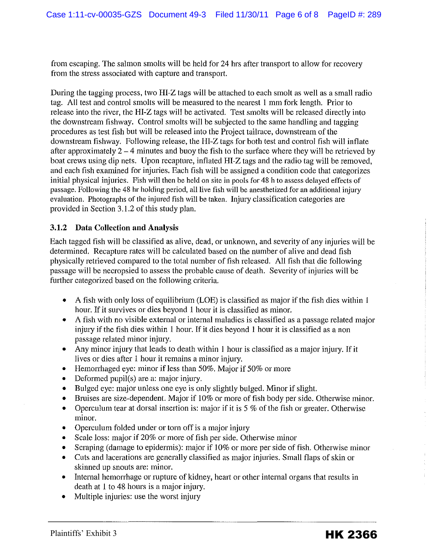from escaping. The salmon smolts will be held for 24 hrs after transport to allow for recovery from the stress associated with capture and transport.

During the tagging process, two HI-Z tags will be attached to each smolt as well as a small radio tag. All test and control smolts will be measured to the nearest I mm fork length. Prior to release into the river, the HI-Z tags will be activated. Test smolts will be released directly into the downstream fishway. Control smolts will be subjected to the same handling and tagging procedures as test fish but will be released into the Project tailrace, downstream of the downstream fishway. Following release, the HI-Z tags for both test and control fish will inflate after approximately  $2-4$  minutes and buoy the fish to the surface where they will be retrieved by boat crews using dip nets. Upon recapture, inflated HI-Z tags and the radio tag will be removed, and each fish examined for injuries. Each fish will be assigned a condition code that categorizes initial physical injuries. Fish will then be held on site in pools for 48 h to assess delayed effects of passage. Following the 48 hr holding period, all live fish will be anesthetized for an additional injury evaluation. Photographs of the injured fish will be taken. Injury classification categories are provided in Section 3.1.2 of this study plan.

### **3.1.2 Data Collection and Analysis**

Each tagged fish will be classified as alive, dead, or unknown, and severity of any injuries will be determined. Recapture rates will be calculated based on the number of alive and dead fish physically retrieved compared to the total number of fish released. All fish that die following passage will be necropsied to assess the probable cause of death. Severity of injuries will be further categorized based on the following criteria.

- A fish with only loss of equilibrium (LOE) is classified as major if the fish dies within 1 hour. If it survives or dies beyond 1 hour it is classified as minor.
- A fish with no visible external or internal maladies is classified as a passage related major injury if the fish dies within 1 hour. If it dies beyond 1 hour it is classified as a non passage related minor injury.
- Any minor injury that leads to death within 1 hour is classified as a major injury. If it lives or dies after 1 hour it remains a minor injury.
- Hemorrhaged eye: minor if less than 50%. Major if 50% or more
- Deformed pupil(s) are a: major injury.
- Bulged eye: major unless one eye is only slightly bulged. Minor if slight.
- Bruises are size-dependent. Major if 10% or more of fish body per side. Otherwise minor.
- Operculum tear at dorsal insertion is: major if it is  $5\%$  of the fish or greater. Otherwise minor.
- Operculum folded under or torn off is a major injury
- Scale loss: major if 20% or more of fish per side. Otherwise minor
- Scraping (damage to epidermis): major if 10% or more per side of fish. Otherwise minor
- Cuts and lacerations are generally classified as major injuries. Small flaps of skin or skinned up snouts are: minor.
- Internal hemorrhage or rupture of kidney, heart or other internal organs that results in death at 1 to 48 hours is a major injury.
- Multiple injuries: use the worst injury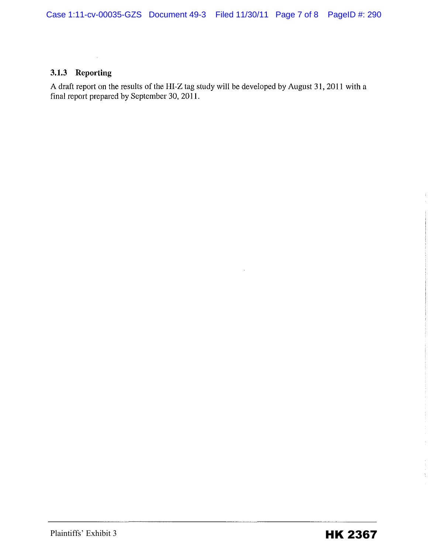### **3.1.3 Reporting**

 $\mathcal{L}_{\rm{in}}$ 

A draft report on the results of the HI-Z tag study will be developed by August 31, 2011 with a final report prepared by September 30, 2011.

÷  $\frac{1}{2}$